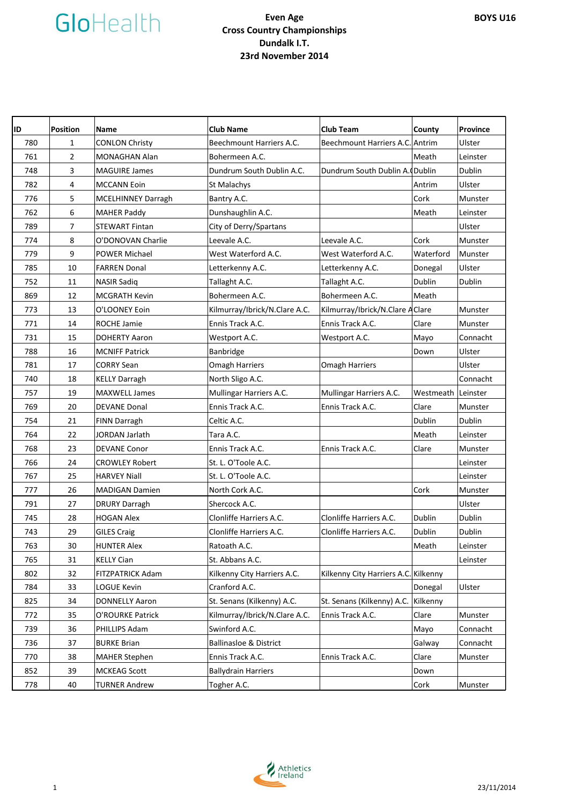# GloHealth

### **Even Age Cross Country Championships Dundalk I.T. 23rd November 2014**

| ID  | <b>Position</b> | <b>Name</b>               | <b>Club Name</b>              | <b>Club Team</b>                     | County             | Province      |
|-----|-----------------|---------------------------|-------------------------------|--------------------------------------|--------------------|---------------|
| 780 | $\mathbf{1}$    | <b>CONLON Christy</b>     | Beechmount Harriers A.C.      | Beechmount Harriers A.C. Antrim      |                    | Ulster        |
| 761 | $\overline{2}$  | MONAGHAN Alan             | Bohermeen A.C.                |                                      | Meath              | Leinster      |
| 748 | 3               | <b>MAGUIRE James</b>      | Dundrum South Dublin A.C.     | Dundrum South Dublin A. (Dublin      |                    | Dublin        |
| 782 | $\overline{4}$  | <b>MCCANN Eoin</b>        | St Malachys                   |                                      | Antrim             | Ulster        |
| 776 | 5               | <b>MCELHINNEY Darragh</b> | Bantry A.C.                   |                                      | Cork               | Munster       |
| 762 | 6               | <b>MAHER Paddy</b>        | Dunshaughlin A.C.             |                                      | Meath              | Leinster      |
| 789 | $\overline{7}$  | <b>STEWART Fintan</b>     | City of Derry/Spartans        |                                      |                    | Ulster        |
| 774 | 8               | O'DONOVAN Charlie         | Leevale A.C.                  | Leevale A.C.                         | Cork               | Munster       |
| 779 | 9               | <b>POWER Michael</b>      | West Waterford A.C.           | West Waterford A.C.                  | Waterford          | Munster       |
| 785 | 10              | <b>FARREN Donal</b>       | Letterkenny A.C.              | Letterkenny A.C.                     | Donegal            | Ulster        |
| 752 | 11              | <b>NASIR Sadiq</b>        | Tallaght A.C.                 | Tallaght A.C.                        | Dublin             | Dublin        |
| 869 | 12              | <b>MCGRATH Kevin</b>      | Bohermeen A.C.                | Bohermeen A.C.                       | Meath              |               |
| 773 | 13              | O'LOONEY Eoin             | Kilmurray/Ibrick/N.Clare A.C. | Kilmurray/Ibrick/N.Clare A Clare     |                    | Munster       |
| 771 | 14              | <b>ROCHE Jamie</b>        | Ennis Track A.C.              | Ennis Track A.C.                     | Clare              | Munster       |
| 731 | 15              | <b>DOHERTY Aaron</b>      | Westport A.C.                 | Westport A.C.                        | Mayo               | Connacht      |
| 788 | 16              | <b>MCNIFF Patrick</b>     | Banbridge                     |                                      | Down               | Ulster        |
| 781 | 17              | <b>CORRY Sean</b>         | <b>Omagh Harriers</b>         | Omagh Harriers                       |                    | Ulster        |
| 740 | 18              | <b>KELLY Darragh</b>      | North Sligo A.C.              |                                      |                    | Connacht      |
| 757 | 19              | <b>MAXWELL James</b>      | Mullingar Harriers A.C.       | Mullingar Harriers A.C.              | Westmeath Leinster |               |
| 769 | 20              | <b>DEVANE Donal</b>       | Ennis Track A.C.              | Ennis Track A.C.                     | Clare              | Munster       |
| 754 | 21              | FINN Darragh              | Celtic A.C.                   |                                      | Dublin             | Dublin        |
| 764 | 22              | JORDAN Jarlath            | Tara A.C.                     |                                      | Meath              | Leinster      |
| 768 | 23              | <b>DEVANE Conor</b>       | Ennis Track A.C.              | Ennis Track A.C.                     | Clare              | Munster       |
| 766 | 24              | <b>CROWLEY Robert</b>     | St. L. O'Toole A.C.           |                                      |                    | Leinster      |
| 767 | 25              | <b>HARVEY Niall</b>       | St. L. O'Toole A.C.           |                                      |                    | Leinster      |
| 777 | 26              | <b>MADIGAN Damien</b>     | North Cork A.C.               |                                      | Cork               | Munster       |
| 791 | 27              | <b>DRURY Darragh</b>      | Shercock A.C.                 |                                      |                    | Ulster        |
| 745 | 28              | <b>HOGAN Alex</b>         | Clonliffe Harriers A.C.       | Clonliffe Harriers A.C.              | Dublin             | Dublin        |
| 743 | 29              | <b>GILES Craig</b>        | Clonliffe Harriers A.C.       | Clonliffe Harriers A.C.              | Dublin             | <b>Dublin</b> |
| 763 | 30              | <b>HUNTER Alex</b>        | Ratoath A.C.                  |                                      | Meath              | Leinster      |
| 765 | 31              | <b>KELLY Cian</b>         | St. Abbans A.C.               |                                      |                    | Leinster      |
| 802 | 32              | FITZPATRICK Adam          | Kilkenny City Harriers A.C.   | Kilkenny City Harriers A.C. Kilkenny |                    |               |
| 784 | 33              | <b>LOGUE Kevin</b>        | Cranford A.C.                 |                                      | Donegal            | Ulster        |
| 825 | 34              | <b>DONNELLY Aaron</b>     | St. Senans (Kilkenny) A.C.    | St. Senans (Kilkenny) A.C.           | Kilkenny           |               |
| 772 | 35              | O'ROURKE Patrick          | Kilmurray/Ibrick/N.Clare A.C. | Ennis Track A.C.                     | Clare              | Munster       |
| 739 | 36              | PHILLIPS Adam             | Swinford A.C.                 |                                      | Mayo               | Connacht      |
| 736 | 37              | <b>BURKE Brian</b>        | Ballinasloe & District        |                                      | Galway             | Connacht      |
| 770 | 38              | <b>MAHER Stephen</b>      | Ennis Track A.C.              | Ennis Track A.C.                     | Clare              | Munster       |
| 852 | 39              | <b>MCKEAG Scott</b>       | <b>Ballydrain Harriers</b>    |                                      | Down               |               |
| 778 | 40              | <b>TURNER Andrew</b>      | Togher A.C.                   |                                      | Cork               | Munster       |

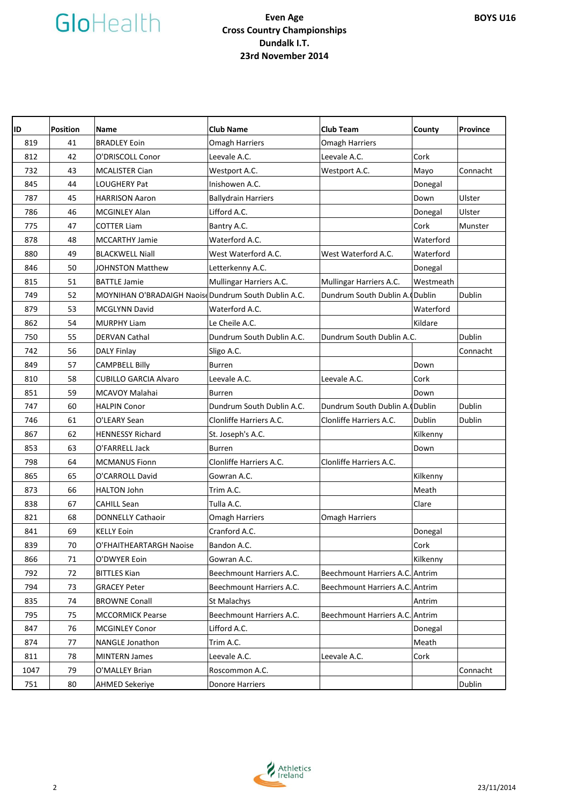# GloHealth

### **Even Age Cross Country Championships Dundalk I.T. 23rd November 2014**

| ID   | <b>Position</b> | <b>Name</b>                                          | <b>Club Name</b>           | <b>Club Team</b>                | County    | Province |
|------|-----------------|------------------------------------------------------|----------------------------|---------------------------------|-----------|----------|
| 819  | 41              | <b>BRADLEY Eoin</b>                                  | <b>Omagh Harriers</b>      | <b>Omagh Harriers</b>           |           |          |
| 812  | 42              | O'DRISCOLL Conor                                     | Leevale A.C.               | Leevale A.C.                    | Cork      |          |
| 732  | 43              | <b>MCALISTER Cian</b>                                | Westport A.C.              | Westport A.C.                   | Mayo      | Connacht |
| 845  | 44              | LOUGHERY Pat                                         | Inishowen A.C.             |                                 | Donegal   |          |
| 787  | 45              | <b>HARRISON Aaron</b>                                | <b>Ballydrain Harriers</b> |                                 | Down      | Ulster   |
| 786  | 46              | <b>MCGINLEY Alan</b>                                 | Lifford A.C.               |                                 | Donegal   | Ulster   |
| 775  | 47              | <b>COTTER Liam</b>                                   | Bantry A.C.                |                                 | Cork      | Munster  |
| 878  | 48              | MCCARTHY Jamie                                       | Waterford A.C.             |                                 | Waterford |          |
| 880  | 49              | <b>BLACKWELL Niall</b>                               | West Waterford A.C.        | West Waterford A.C.             | Waterford |          |
| 846  | 50              | JOHNSTON Matthew                                     | Letterkenny A.C.           |                                 | Donegal   |          |
| 815  | 51              | <b>BATTLE Jamie</b>                                  | Mullingar Harriers A.C.    | Mullingar Harriers A.C.         | Westmeath |          |
| 749  | 52              | MOYNIHAN O'BRADAIGH Naoise Dundrum South Dublin A.C. |                            | Dundrum South Dublin A. (Dublin |           | Dublin   |
| 879  | 53              | <b>MCGLYNN David</b>                                 | Waterford A.C.             |                                 | Waterford |          |
| 862  | 54              | <b>MURPHY Liam</b>                                   | Le Cheile A.C.             |                                 | Kildare   |          |
| 750  | 55              | <b>DERVAN Cathal</b>                                 | Dundrum South Dublin A.C.  | Dundrum South Dublin A.C.       |           | Dublin   |
| 742  | 56              | <b>DALY Finlay</b>                                   | Sligo A.C.                 |                                 |           | Connacht |
| 849  | 57              | <b>CAMPBELL Billy</b>                                | <b>Burren</b>              |                                 | Down      |          |
| 810  | 58              | <b>CUBILLO GARCIA Alvaro</b>                         | Leevale A.C.               | Leevale A.C.                    | Cork      |          |
| 851  | 59              | MCAVOY Malahai                                       | <b>Burren</b>              |                                 | Down      |          |
| 747  | 60              | <b>HALPIN Conor</b>                                  | Dundrum South Dublin A.C.  | Dundrum South Dublin A. (Dublin |           | Dublin   |
| 746  | 61              | O'LEARY Sean                                         | Clonliffe Harriers A.C.    | Clonliffe Harriers A.C.         | Dublin    | Dublin   |
| 867  | 62              | <b>HENNESSY Richard</b>                              | St. Joseph's A.C.          |                                 | Kilkenny  |          |
| 853  | 63              | O'FARRELL Jack                                       | <b>Burren</b>              |                                 | Down      |          |
| 798  | 64              | <b>MCMANUS Fionn</b>                                 | Clonliffe Harriers A.C.    | Clonliffe Harriers A.C.         |           |          |
| 865  | 65              | O'CARROLL David                                      | Gowran A.C.                |                                 | Kilkenny  |          |
| 873  | 66              | <b>HALTON John</b>                                   | Trim A.C.                  |                                 | Meath     |          |
| 838  | 67              | <b>CAHILL Sean</b>                                   | Tulla A.C.                 |                                 | Clare     |          |
| 821  | 68              | <b>DONNELLY Cathaoir</b>                             | <b>Omagh Harriers</b>      | <b>Omagh Harriers</b>           |           |          |
| 841  | 69              | <b>KELLY Eoin</b>                                    | Cranford A.C.              |                                 | Donegal   |          |
| 839  | 70              | O'FHAITHEARTARGH Naoise                              | Bandon A.C.                |                                 | Cork      |          |
| 866  | 71              | O'DWYER Eoin                                         | Gowran A.C.                |                                 | Kilkenny  |          |
| 792  | 72              | <b>BITTLES Kian</b>                                  | Beechmount Harriers A.C.   | Beechmount Harriers A.C. Antrim |           |          |
| 794  | 73              | <b>GRACEY Peter</b>                                  | Beechmount Harriers A.C.   | Beechmount Harriers A.C. Antrim |           |          |
| 835  | 74              | <b>BROWNE Conall</b>                                 | St Malachys                |                                 | Antrim    |          |
| 795  | 75              | <b>MCCORMICK Pearse</b>                              | Beechmount Harriers A.C.   | Beechmount Harriers A.C. Antrim |           |          |
| 847  | 76              | <b>MCGINLEY Conor</b>                                | Lifford A.C.               |                                 | Donegal   |          |
| 874  | 77              | NANGLE Jonathon                                      | Trim A.C.                  |                                 | Meath     |          |
| 811  | 78              | <b>MINTERN James</b>                                 | Leevale A.C.               | Leevale A.C.                    | Cork      |          |
| 1047 | 79              | O'MALLEY Brian                                       | Roscommon A.C.             |                                 |           | Connacht |
| 751  | 80              | <b>AHMED Sekeriye</b>                                | Donore Harriers            |                                 |           | Dublin   |

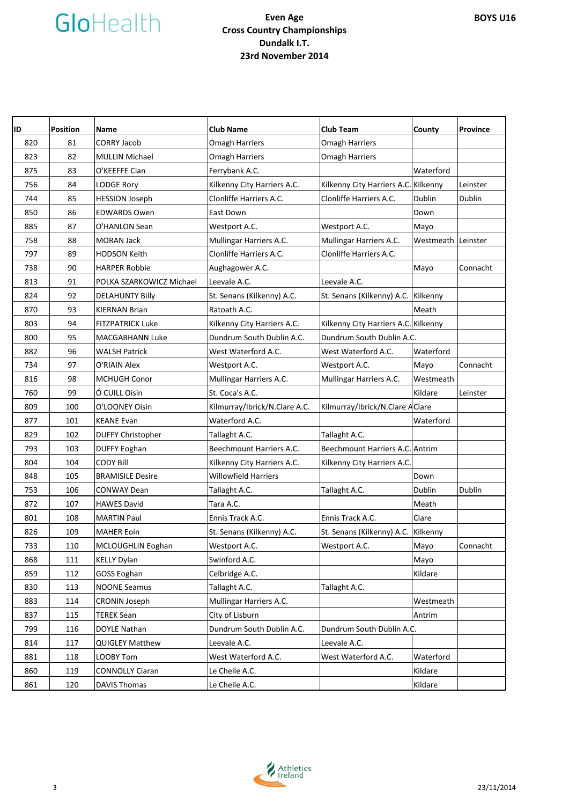

#### **Even Age Cross Country Championships Dundalk I.T. 23rd November 2014**

| ID  | <b>Position</b> | Name                     | <b>Club Name</b>              | <b>Club Team</b>                     | County    | Province |
|-----|-----------------|--------------------------|-------------------------------|--------------------------------------|-----------|----------|
| 820 | 81              | <b>CORRY Jacob</b>       | <b>Omagh Harriers</b>         | <b>Omagh Harriers</b>                |           |          |
| 823 | 82              | <b>MULLIN Michael</b>    | <b>Omagh Harriers</b>         | <b>Omagh Harriers</b>                |           |          |
| 875 | 83              | O'KEEFFE Cian            | Ferrybank A.C.                |                                      | Waterford |          |
| 756 | 84              | <b>LODGE Rory</b>        | Kilkenny City Harriers A.C.   | Kilkenny City Harriers A.C.          | Kilkenny  | Leinster |
| 744 | 85              | <b>HESSION Joseph</b>    | Clonliffe Harriers A.C.       | Clonliffe Harriers A.C.              | Dublin    | Dublin   |
| 850 | 86              | <b>EDWARDS Owen</b>      | East Down                     |                                      | Down      |          |
| 885 | 87              | O'HANLON Sean            | Westport A.C.                 | Westport A.C.                        | Mayo      |          |
| 758 | 88              | MORAN Jack               | Mullingar Harriers A.C.       | Mullingar Harriers A.C.              | Westmeath | Leinster |
| 797 | 89              | <b>HODSON Keith</b>      | Clonliffe Harriers A.C.       | Clonliffe Harriers A.C.              |           |          |
| 738 | 90              | <b>HARPER Robbie</b>     | Aughagower A.C.               |                                      | Mayo      | Connacht |
| 813 | 91              | POLKA SZARKOWICZ Michael | Leevale A.C.                  | Leevale A.C.                         |           |          |
| 824 | 92              | <b>DELAHUNTY Billy</b>   | St. Senans (Kilkenny) A.C.    | St. Senans (Kilkenny) A.C.           | Kilkenny  |          |
| 870 | 93              | <b>KIERNAN Brian</b>     | Ratoath A.C.                  |                                      | Meath     |          |
| 803 | 94              | <b>FITZPATRICK Luke</b>  | Kilkenny City Harriers A.C.   | Kilkenny City Harriers A.C. Kilkenny |           |          |
| 800 | 95              | MACGABHANN Luke          | Dundrum South Dublin A.C.     | Dundrum South Dublin A.C.            |           |          |
| 882 | 96              | <b>WALSH Patrick</b>     | West Waterford A.C.           | West Waterford A.C.                  | Waterford |          |
| 734 | 97              | O'RIAIN Alex             | Westport A.C.                 | Westport A.C.                        | Mayo      | Connacht |
| 816 | 98              | <b>MCHUGH Conor</b>      | Mullingar Harriers A.C.       | Mullingar Harriers A.C.              | Westmeath |          |
| 760 | 99              | Ó CUILL Oisin            | St. Coca's A.C.               |                                      | Kildare   | Leinster |
| 809 | 100             | O'LOONEY Oisin           | Kilmurray/Ibrick/N.Clare A.C. | Kilmurray/Ibrick/N.Clare AClare      |           |          |
| 877 | 101             | <b>KEANE Evan</b>        | Waterford A.C.                |                                      | Waterford |          |
| 829 | 102             | <b>DUFFY Christopher</b> | Tallaght A.C.                 | Tallaght A.C.                        |           |          |
| 793 | 103             | <b>DUFFY Eoghan</b>      | Beechmount Harriers A.C.      | Beechmount Harriers A.C. Antrim      |           |          |
| 804 | 104             | <b>CODY Bill</b>         | Kilkenny City Harriers A.C.   | Kilkenny City Harriers A.C           |           |          |
| 848 | 105             | <b>BRAMISILE Desire</b>  | <b>Willowfield Harriers</b>   |                                      | Down      |          |
| 753 | 106             | <b>CONWAY Dean</b>       | Tallaght A.C.                 | Tallaght A.C.                        | Dublin    | Dublin   |
| 872 | 107             | <b>HAWES David</b>       | Tara A.C.                     |                                      | Meath     |          |
| 801 | 108             | <b>MARTIN Paul</b>       | Ennis Track A.C.              | Ennis Track A.C.                     | Clare     |          |
| 826 | 109             | <b>MAHER Eoin</b>        | St. Senans (Kilkenny) A.C.    | St. Senans (Kilkenny) A.C.           | Kilkenny  |          |
| 733 | 110             | MCLOUGHLIN Eoghan        | Westport A.C.                 | Westport A.C.                        | Mayo      | Connacht |
| 868 | 111             | <b>KELLY Dylan</b>       | Swinford A.C.                 |                                      | Mayo      |          |
| 859 | 112             | <b>GOSS Eoghan</b>       | Celbridge A.C.                |                                      | Kildare   |          |
| 830 | 113             | <b>NOONE Seamus</b>      | Tallaght A.C.                 | Tallaght A.C.                        |           |          |
| 883 | 114             | <b>CRONIN Joseph</b>     | Mullingar Harriers A.C.       |                                      | Westmeath |          |
| 837 | 115             | <b>TEREK Sean</b>        | City of Lisburn               |                                      | Antrim    |          |
| 799 | 116             | DOYLE Nathan             | Dundrum South Dublin A.C.     | Dundrum South Dublin A.C.            |           |          |
| 814 | 117             | <b>QUIGLEY Matthew</b>   | Leevale A.C.                  | Leevale A.C.                         |           |          |
| 881 | 118             | LOOBY Tom                | West Waterford A.C.           | West Waterford A.C.                  | Waterford |          |
| 860 | 119             | <b>CONNOLLY Ciaran</b>   | Le Cheile A.C.                |                                      | Kildare   |          |
| 861 | 120             | <b>DAVIS Thomas</b>      | Le Cheile A.C.                |                                      | Kildare   |          |



**BOYS U16**